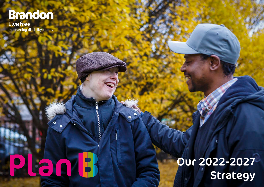# **Brandon** Live free

the learning disability charity

Plant

 Our 2022-2027 Strategy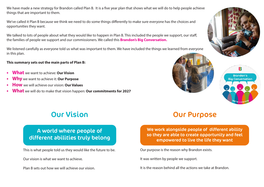We have made a new strategy for Brandon called Plan B. It is a five year plan that shows what we will do to help people achieve things that are important to them.

We've called it Plan B because we think we need to do some things differently to make sure everyone has the choices and opportunities they want.

We talked to lots of people about what they would like to happen in Plan B. This included the people we support, our staff, the families of people we support and our commissioners. We called this **Brandon's Big Conversation.** 

We listened carefully as everyone told us what was important to them. We have included the things we learned from everyone in this plan.

**This summary sets out the main parts of Plan B:**

- **• What** we want to achieve: **Our Vision**
- **• Why** we want to achieve it: **Our Purpose**
- **• How** we will achieve our vision: **Our Values**
- **• What** we will do to make that vision happen: **Our commitments for 2027**







### A world where people of different abilities truly belong

This is what people told us they would like the future to be.

Our vision is what we want to achieve.

Plan B sets out how we will achieve our vision.

## Our Vision Our Purpose

We work alongside people of different ability so they are able to create opportunity and feel empowered to live the life they want

Our purpose is the reason why Brandon exists.

It was written by people we support.

It is the reason behind all the actions we take at Brandon.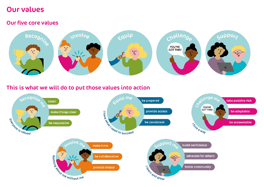## Our values

#### Our five core values



#### This is what we will do to put those values into action